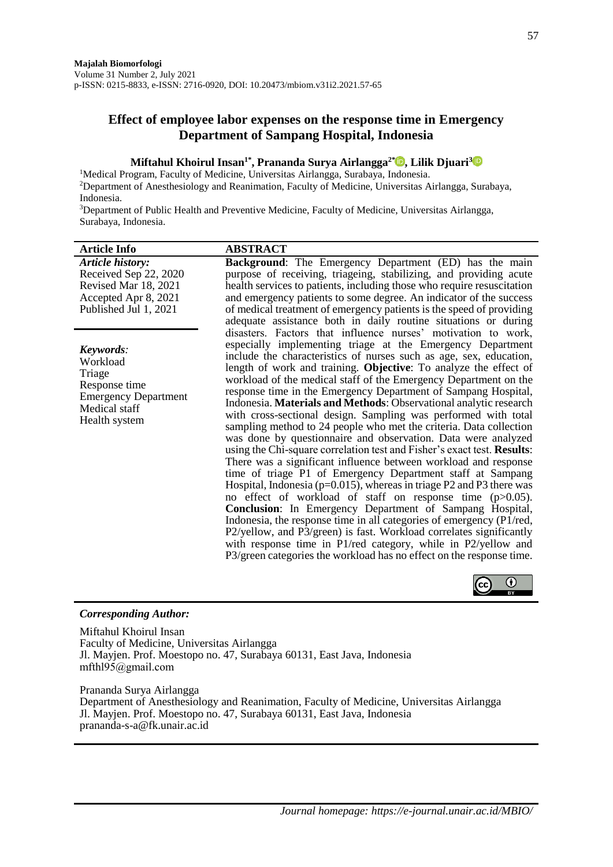# **Effect of employee labor expenses on the response time in Emergency Department of Sampang Hospital, Indonesia**

# **Miftahul Khoirul Insan1\* , Prananda Surya Airlangga2[\\*](https://orcid.org/0000-0002-4674-6751) , Lilik Djuari<sup>3</sup>**

<sup>1</sup>Medical Program, Faculty of Medicine, Universitas Airlangga, Surabaya, Indonesia. <sup>2</sup>Department of Anesthesiology and Reanimation, Faculty of Medicine, Universitas Airlangga, Surabaya, Indonesia.

<sup>3</sup>Department of Public Health and Preventive Medicine, Faculty of Medicine, Universitas Airlangga, Surabaya, Indonesia.

| <b>Article Info</b>                                                                                                       | <b>ABSTRACT</b>                                                                                                                                                                                                                                                                                                                                                                                                                                                                                                                                                                                                                                                                                                                                                                                                                                                                                                                                                                                                                                                                                                                                                                                                                                                                                                                                                                                       |
|---------------------------------------------------------------------------------------------------------------------------|-------------------------------------------------------------------------------------------------------------------------------------------------------------------------------------------------------------------------------------------------------------------------------------------------------------------------------------------------------------------------------------------------------------------------------------------------------------------------------------------------------------------------------------------------------------------------------------------------------------------------------------------------------------------------------------------------------------------------------------------------------------------------------------------------------------------------------------------------------------------------------------------------------------------------------------------------------------------------------------------------------------------------------------------------------------------------------------------------------------------------------------------------------------------------------------------------------------------------------------------------------------------------------------------------------------------------------------------------------------------------------------------------------|
| <b>Article history:</b><br>Received Sep 22, 2020<br>Revised Mar 18, 2021<br>Accepted Apr 8, 2021<br>Published Jul 1, 2021 | <b>Background:</b> The Emergency Department (ED) has the main<br>purpose of receiving, triageing, stabilizing, and providing acute<br>health services to patients, including those who require resuscitation<br>and emergency patients to some degree. An indicator of the success<br>of medical treatment of emergency patients is the speed of providing<br>adequate assistance both in daily routine situations or during                                                                                                                                                                                                                                                                                                                                                                                                                                                                                                                                                                                                                                                                                                                                                                                                                                                                                                                                                                          |
| Keywords:<br>Workload<br>Triage<br>Response time<br><b>Emergency Department</b><br>Medical staff<br>Health system         | disasters. Factors that influence nurses' motivation to work,<br>especially implementing triage at the Emergency Department<br>include the characteristics of nurses such as age, sex, education,<br>length of work and training. Objective: To analyze the effect of<br>workload of the medical staff of the Emergency Department on the<br>response time in the Emergency Department of Sampang Hospital,<br>Indonesia. Materials and Methods: Observational analytic research<br>with cross-sectional design. Sampling was performed with total<br>sampling method to 24 people who met the criteria. Data collection<br>was done by questionnaire and observation. Data were analyzed<br>using the Chi-square correlation test and Fisher's exact test. Results:<br>There was a significant influence between workload and response<br>time of triage P1 of Emergency Department staff at Sampang<br>Hospital, Indonesia ( $p=0.015$ ), whereas in triage P2 and P3 there was<br>no effect of workload of staff on response time $(p>0.05)$ .<br>Conclusion: In Emergency Department of Sampang Hospital,<br>Indonesia, the response time in all categories of emergency (P1/red,<br>P2/yellow, and P3/green) is fast. Workload correlates significantly<br>with response time in P1/red category, while in P2/yellow and<br>P3/green categories the workload has no effect on the response time. |



#### *Corresponding Author:*

Miftahul Khoirul Insan Faculty of Medicine, Universitas Airlangga Jl. Mayjen. Prof. Moestopo no. 47, Surabaya 60131, East Java, Indonesia mfthl $95@g$ gmail.com

Prananda Surya Airlangga Department of Anesthesiology and Reanimation, Faculty of Medicine, Universitas Airlangga Jl. Mayjen. Prof. Moestopo no. 47, Surabaya 60131, East Java, Indonesia prananda-s-a@fk.unair.ac.id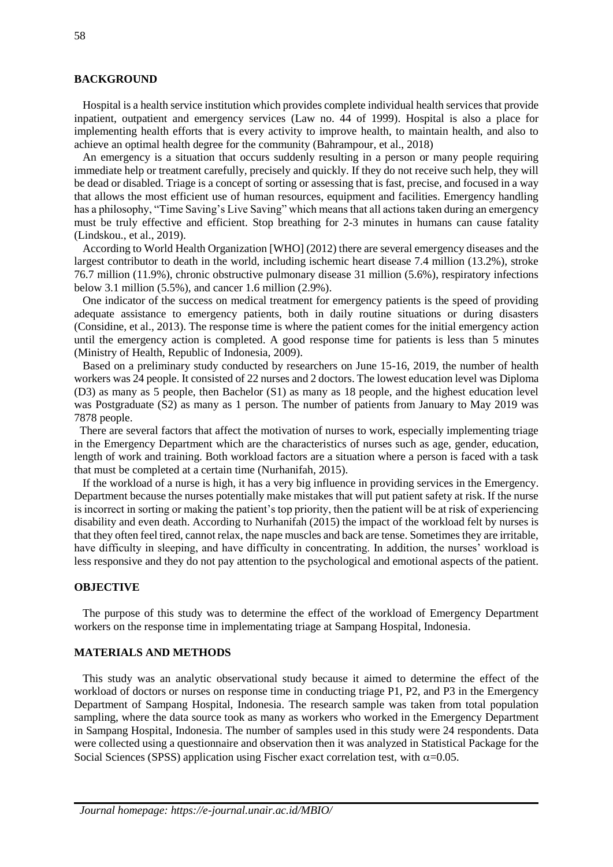#### **BACKGROUND**

 Hospital is a health service institution which provides complete individual health services that provide inpatient, outpatient and emergency services (Law no. 44 of 1999). Hospital is also a place for implementing health efforts that is every activity to improve health, to maintain health, and also to achieve an optimal health degree for the community (Bahrampour, et al., 2018)

 An emergency is a situation that occurs suddenly resulting in a person or many people requiring immediate help or treatment carefully, precisely and quickly. If they do not receive such help, they will be dead or disabled. Triage is a concept of sorting or assessing that is fast, precise, and focused in a way that allows the most efficient use of human resources, equipment and facilities. Emergency handling has a philosophy, "Time Saving's Live Saving" which means that all actions taken during an emergency must be truly effective and efficient. Stop breathing for 2-3 minutes in humans can cause fatality (Lindskou., et al., 2019).

 According to World Health Organization [WHO] (2012) there are several emergency diseases and the largest contributor to death in the world, including ischemic heart disease 7.4 million (13.2%), stroke 76.7 million (11.9%), chronic obstructive pulmonary disease 31 million (5.6%), respiratory infections below 3.1 million (5.5%), and cancer 1.6 million (2.9%).

 One indicator of the success on medical treatment for emergency patients is the speed of providing adequate assistance to emergency patients, both in daily routine situations or during disasters (Considine, et al., 2013). The response time is where the patient comes for the initial emergency action until the emergency action is completed. A good response time for patients is less than 5 minutes (Ministry of Health, Republic of Indonesia, 2009).

 Based on a preliminary study conducted by researchers on June 15-16, 2019, the number of health workers was 24 people. It consisted of 22 nurses and 2 doctors. The lowest education level was Diploma (D3) as many as 5 people, then Bachelor (S1) as many as 18 people, and the highest education level was Postgraduate (S2) as many as 1 person. The number of patients from January to May 2019 was 7878 people.

There are several factors that affect the motivation of nurses to work, especially implementing triage in the Emergency Department which are the characteristics of nurses such as age, gender, education, length of work and training. Both workload factors are a situation where a person is faced with a task that must be completed at a certain time (Nurhanifah, 2015).

 If the workload of a nurse is high, it has a very big influence in providing services in the Emergency. Department because the nurses potentially make mistakes that will put patient safety at risk. If the nurse is incorrect in sorting or making the patient's top priority, then the patient will be at risk of experiencing disability and even death. According to Nurhanifah (2015) the impact of the workload felt by nurses is that they often feel tired, cannot relax, the nape muscles and back are tense. Sometimes they are irritable, have difficulty in sleeping, and have difficulty in concentrating. In addition, the nurses' workload is less responsive and they do not pay attention to the psychological and emotional aspects of the patient.

# **OBJECTIVE**

 The purpose of this study was to determine the effect of the workload of Emergency Department workers on the response time in implementating triage at Sampang Hospital, Indonesia.

#### **MATERIALS AND METHODS**

 This study was an analytic observational study because it aimed to determine the effect of the workload of doctors or nurses on response time in conducting triage P1, P2, and P3 in the Emergency Department of Sampang Hospital, Indonesia. The research sample was taken from total population sampling, where the data source took as many as workers who worked in the Emergency Department in Sampang Hospital, Indonesia. The number of samples used in this study were 24 respondents. Data were collected using a questionnaire and observation then it was analyzed in Statistical Package for the Social Sciences (SPSS) application using Fischer exact correlation test, with  $\alpha$ =0.05.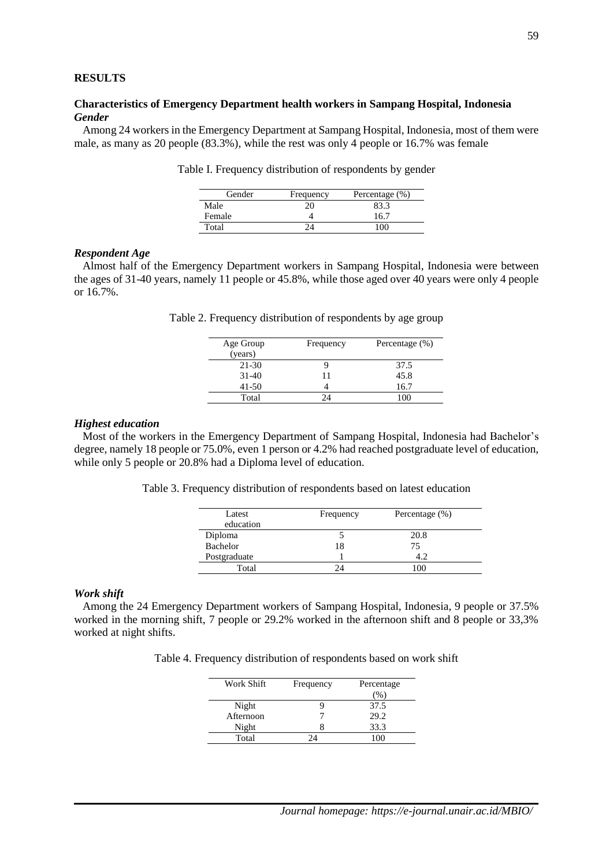### **RESULTS**

### **Characteristics of Emergency Department health workers in Sampang Hospital, Indonesia** *Gender*

 Among 24 workers in the Emergency Department at Sampang Hospital, Indonesia, most of them were male, as many as 20 people (83.3%), while the rest was only 4 people or 16.7% was female

| Gender | Frequency | Percentage (%) |
|--------|-----------|----------------|
| Male   |           | 83.3           |
| Female |           | 167            |
| Total  |           | ΩO             |

Table I. Frequency distribution of respondents by gender

#### *Respondent Age*

 Almost half of the Emergency Department workers in Sampang Hospital, Indonesia were between the ages of 31-40 years, namely 11 people or 45.8%, while those aged over 40 years were only 4 people or 16.7%.

Table 2. Frequency distribution of respondents by age group

| Age Group | Frequency | Percentage (%) |
|-----------|-----------|----------------|
| (years)   |           |                |
| $21 - 30$ |           | 37.5           |
| $31-40$   | 11        | 45.8           |
| $41 - 50$ |           | 16.7           |
| Total     | ΣΔ        |                |
|           |           |                |

### *Highest education*

 Most of the workers in the Emergency Department of Sampang Hospital, Indonesia had Bachelor's degree, namely 18 people or 75.0%, even 1 person or 4.2% had reached postgraduate level of education, while only 5 people or 20.8% had a Diploma level of education.

Table 3. Frequency distribution of respondents based on latest education

| Latest<br>education | Frequency | Percentage (%) |
|---------------------|-----------|----------------|
| Diploma             |           | 20.8           |
| Bachelor            | 18        | 75             |
| Postgraduate        |           | 4.2            |
| Total               |           | 100            |

#### *Work shift*

 Among the 24 Emergency Department workers of Sampang Hospital, Indonesia, 9 people or 37.5% worked in the morning shift, 7 people or 29.2% worked in the afternoon shift and 8 people or 33,3% worked at night shifts.

Table 4. Frequency distribution of respondents based on work shift

| Work Shift | Frequency | Percentage<br>(% |
|------------|-----------|------------------|
| Night      |           | 37.5             |
| Afternoon  |           | 29.2             |
| Night      |           | 33.3             |
| Total      |           | 100              |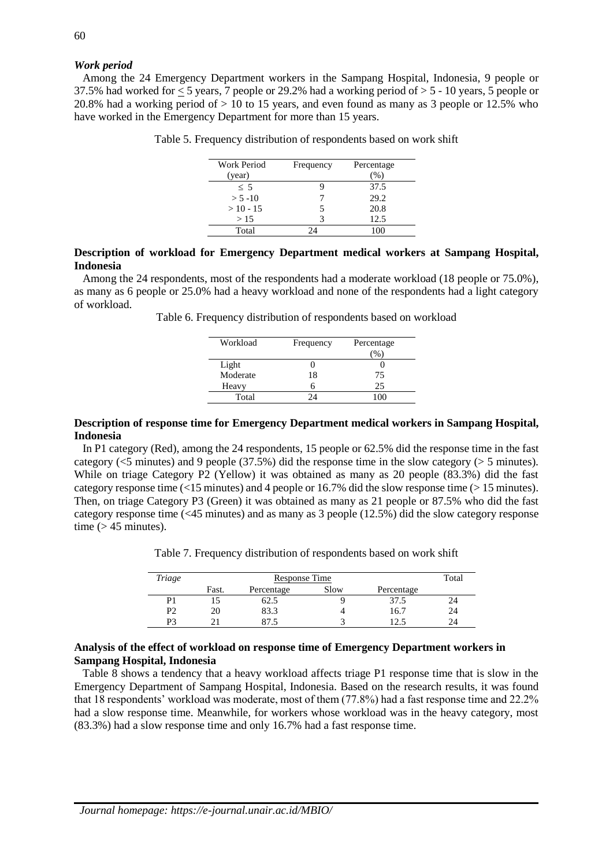# *Work period*

 Among the 24 Emergency Department workers in the Sampang Hospital, Indonesia, 9 people or 37.5% had worked for  $\leq$  5 years, 7 people or 29.2% had a working period of  $>$  5 - 10 years, 5 people or 20.8% had a working period of  $> 10$  to 15 years, and even found as many as 3 people or 12.5% who have worked in the Emergency Department for more than 15 years.

| <b>Work Period</b> | Frequency | Percentage |
|--------------------|-----------|------------|
| (year)             |           | $\%$       |
| $\leq 5$           |           | 37.5       |
| $> 5 - 10$         |           | 29.2       |
| $>10 - 15$         |           | 20.8       |
| >15                |           | 12.5       |
| Total              | ۱Д        | 100        |

Table 5. Frequency distribution of respondents based on work shift

### **Description of workload for Emergency Department medical workers at Sampang Hospital, Indonesia**

 Among the 24 respondents, most of the respondents had a moderate workload (18 people or 75.0%), as many as 6 people or 25.0% had a heavy workload and none of the respondents had a light category of workload.

Table 6. Frequency distribution of respondents based on workload

| Workload | Frequency | Percentage |
|----------|-----------|------------|
|          |           |            |
| Light    |           |            |
| Moderate | 18        | 75         |
| Heavy    | h         | 25         |
| Total    | 24        |            |

#### **Description of response time for Emergency Department medical workers in Sampang Hospital, Indonesia**

 In P1 category (Red), among the 24 respondents, 15 people or 62.5% did the response time in the fast category ( $\leq$ 5 minutes) and 9 people (37.5%) did the response time in the slow category ( $>$  5 minutes). While on triage Category P2 (Yellow) it was obtained as many as 20 people (83.3%) did the fast category response time (<15 minutes) and 4 people or 16.7% did the slow response time (> 15 minutes). Then, on triage Category P3 (Green) it was obtained as many as 21 people or 87.5% who did the fast category response time (<45 minutes) and as many as 3 people (12.5%) did the slow category response time  $(> 45$  minutes).

|  | Table 7. Frequency distribution of respondents based on work shift |  |  |  |
|--|--------------------------------------------------------------------|--|--|--|
|  |                                                                    |  |  |  |

| Triage |       | <b>Response Time</b> |      |            |    |  |
|--------|-------|----------------------|------|------------|----|--|
|        | Fast. | Percentage           | Slow | Percentage |    |  |
| P1     |       | 62.5                 |      | 37.5       | 24 |  |
| P2     |       | 83.3                 |      | 16.7       | 24 |  |
| P٩     |       |                      |      |            | 24 |  |

# **Analysis of the effect of workload on response time of Emergency Department workers in Sampang Hospital, Indonesia**

 Table 8 shows a tendency that a heavy workload affects triage P1 response time that is slow in the Emergency Department of Sampang Hospital, Indonesia. Based on the research results, it was found that 18 respondents' workload was moderate, most of them (77.8%) had a fast response time and 22.2% had a slow response time. Meanwhile, for workers whose workload was in the heavy category, most (83.3%) had a slow response time and only 16.7% had a fast response time.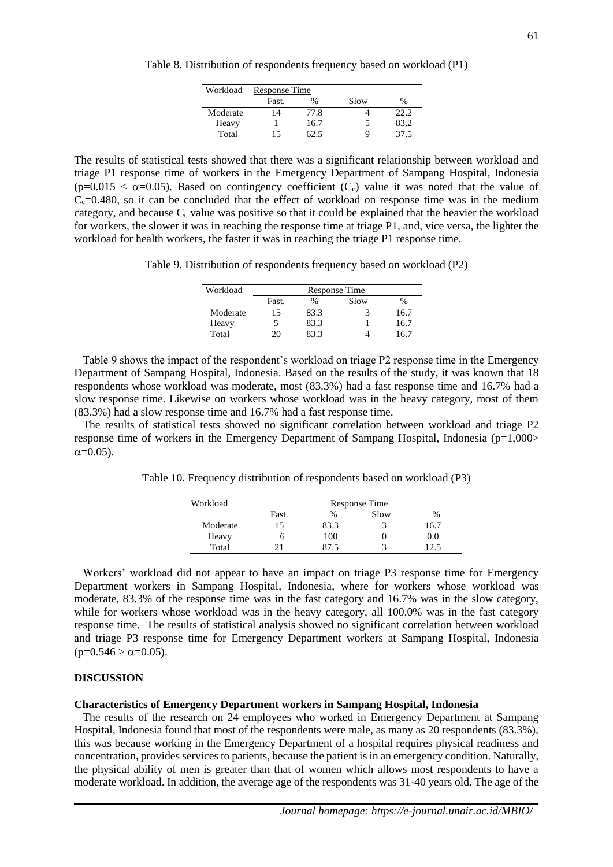| Workload | Response Time |      |      |       |
|----------|---------------|------|------|-------|
|          | Fast.         | $\%$ | Slow | %     |
| Moderate | 14            | 77.8 |      | 22.2. |
| Heavy    |               | 16.7 |      | 83.2  |
| Total    |               |      |      |       |

Table 8. Distribution of respondents frequency based on workload (P1)

The results of statistical tests showed that there was a significant relationship between workload and triage P1 response time of workers in the Emergency Department of Sampang Hospital, Indonesia  $(p=0.015 < \alpha=0.05)$ . Based on contingency coefficient (C<sub>c</sub>) value it was noted that the value of  $\tilde{C}_{c}=0.480$ , so it can be concluded that the effect of workload on response time was in the medium category, and because  $C_c$  value was positive so that it could be explained that the heavier the workload for workers, the slower it was in reaching the response time at triage P1, and, vice versa, the lighter the workload for health workers, the faster it was in reaching the triage P1 response time.

Table 9. Distribution of respondents frequency based on workload (P2)

| Workload | Response Time |      |      |      |
|----------|---------------|------|------|------|
|          | Fast.         |      | Slow |      |
| Moderate |               | 83.3 |      | 16.7 |
| Heavy    |               | 83.3 |      | 16.7 |
| Total    |               |      |      |      |

 Table 9 shows the impact of the respondent's workload on triage P2 response time in the Emergency Department of Sampang Hospital, Indonesia. Based on the results of the study, it was known that 18 respondents whose workload was moderate, most (83.3%) had a fast response time and 16.7% had a slow response time. Likewise on workers whose workload was in the heavy category, most of them (83.3%) had a slow response time and 16.7% had a fast response time.

 The results of statistical tests showed no significant correlation between workload and triage P2 response time of workers in the Emergency Department of Sampang Hospital, Indonesia (p=1,000>  $\alpha$ =0.05).

Table 10. Frequency distribution of respondents based on workload (P3)

| Workload | Response Time |      |  |      |  |  |
|----------|---------------|------|--|------|--|--|
|          | Fast.<br>Slow |      |  |      |  |  |
| Moderate |               | 83.3 |  | 16.7 |  |  |
| Heavy    |               | 100  |  |      |  |  |
| Total    |               |      |  |      |  |  |

 Workers' workload did not appear to have an impact on triage P3 response time for Emergency Department workers in Sampang Hospital, Indonesia, where for workers whose workload was moderate, 83.3% of the response time was in the fast category and 16.7% was in the slow category, while for workers whose workload was in the heavy category, all 100.0% was in the fast category response time. The results of statistical analysis showed no significant correlation between workload and triage P3 response time for Emergency Department workers at Sampang Hospital, Indonesia  $(p=0.546 > \alpha=0.05)$ .

# **DISCUSSION**

# **Characteristics of Emergency Department workers in Sampang Hospital, Indonesia**

 The results of the research on 24 employees who worked in Emergency Department at Sampang Hospital, Indonesia found that most of the respondents were male, as many as 20 respondents (83.3%), this was because working in the Emergency Department of a hospital requires physical readiness and concentration, provides services to patients, because the patient is in an emergency condition. Naturally, the physical ability of men is greater than that of women which allows most respondents to have a moderate workload. In addition, the average age of the respondents was 31-40 years old. The age of the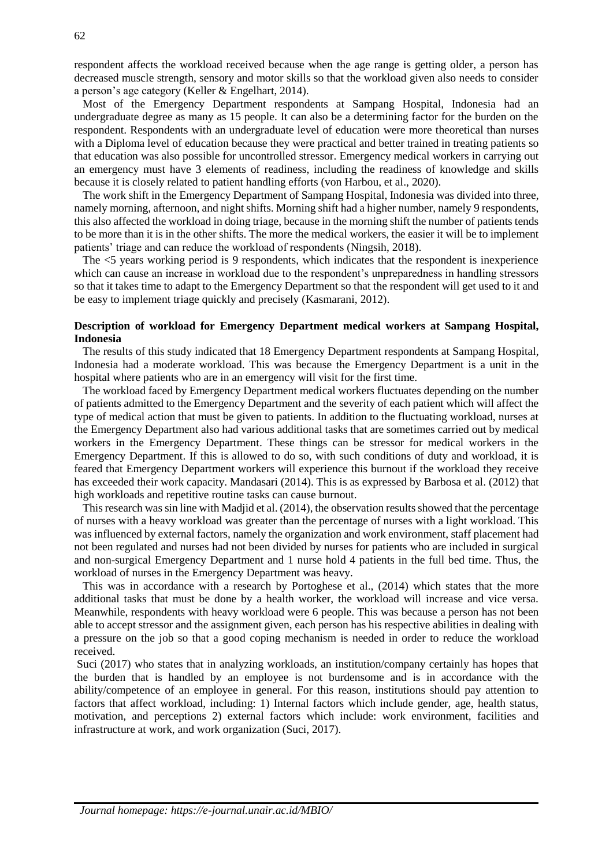respondent affects the workload received because when the age range is getting older, a person has decreased muscle strength, sensory and motor skills so that the workload given also needs to consider a person's age category (Keller & Engelhart, 2014).

 Most of the Emergency Department respondents at Sampang Hospital, Indonesia had an undergraduate degree as many as 15 people. It can also be a determining factor for the burden on the respondent. Respondents with an undergraduate level of education were more theoretical than nurses with a Diploma level of education because they were practical and better trained in treating patients so that education was also possible for uncontrolled stressor. Emergency medical workers in carrying out an emergency must have 3 elements of readiness, including the readiness of knowledge and skills because it is closely related to patient handling efforts (von Harbou, et al., 2020).

 The work shift in the Emergency Department of Sampang Hospital, Indonesia was divided into three, namely morning, afternoon, and night shifts. Morning shift had a higher number, namely 9 respondents, this also affected the workload in doing triage, because in the morning shift the number of patients tends to be more than it is in the other shifts. The more the medical workers, the easier it will be to implement patients' triage and can reduce the workload of respondents (Ningsih, 2018).

 The <5 years working period is 9 respondents, which indicates that the respondent is inexperience which can cause an increase in workload due to the respondent's unpreparedness in handling stressors so that it takes time to adapt to the Emergency Department so that the respondent will get used to it and be easy to implement triage quickly and precisely (Kasmarani, 2012).

## **Description of workload for Emergency Department medical workers at Sampang Hospital, Indonesia**

 The results of this study indicated that 18 Emergency Department respondents at Sampang Hospital, Indonesia had a moderate workload. This was because the Emergency Department is a unit in the hospital where patients who are in an emergency will visit for the first time.

 The workload faced by Emergency Department medical workers fluctuates depending on the number of patients admitted to the Emergency Department and the severity of each patient which will affect the type of medical action that must be given to patients. In addition to the fluctuating workload, nurses at the Emergency Department also had various additional tasks that are sometimes carried out by medical workers in the Emergency Department. These things can be stressor for medical workers in the Emergency Department. If this is allowed to do so, with such conditions of duty and workload, it is feared that Emergency Department workers will experience this burnout if the workload they receive has exceeded their work capacity. Mandasari (2014). This is as expressed by Barbosa et al. (2012) that high workloads and repetitive routine tasks can cause burnout.

 This research was sin line with Madjid et al. (2014), the observation results showed that the percentage of nurses with a heavy workload was greater than the percentage of nurses with a light workload. This was influenced by external factors, namely the organization and work environment, staff placement had not been regulated and nurses had not been divided by nurses for patients who are included in surgical and non-surgical Emergency Department and 1 nurse hold 4 patients in the full bed time. Thus, the workload of nurses in the Emergency Department was heavy.

 This was in accordance with a research by Portoghese et al., (2014) which states that the more additional tasks that must be done by a health worker, the workload will increase and vice versa. Meanwhile, respondents with heavy workload were 6 people. This was because a person has not been able to accept stressor and the assignment given, each person has his respective abilities in dealing with a pressure on the job so that a good coping mechanism is needed in order to reduce the workload received.

Suci (2017) who states that in analyzing workloads, an institution/company certainly has hopes that the burden that is handled by an employee is not burdensome and is in accordance with the ability/competence of an employee in general. For this reason, institutions should pay attention to factors that affect workload, including: 1) Internal factors which include gender, age, health status, motivation, and perceptions 2) external factors which include: work environment, facilities and infrastructure at work, and work organization (Suci, 2017).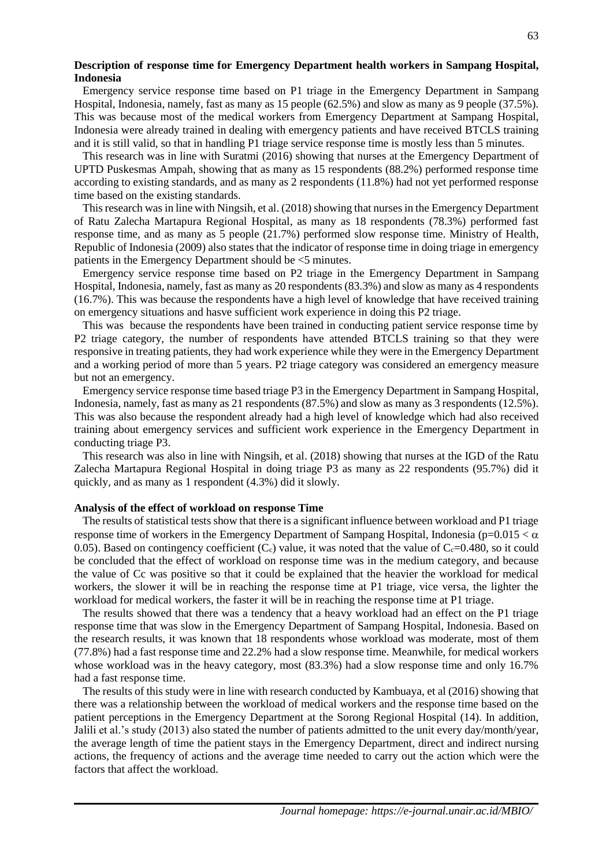## **Description of response time for Emergency Department health workers in Sampang Hospital, Indonesia**

 Emergency service response time based on P1 triage in the Emergency Department in Sampang Hospital, Indonesia, namely, fast as many as 15 people (62.5%) and slow as many as 9 people (37.5%). This was because most of the medical workers from Emergency Department at Sampang Hospital, Indonesia were already trained in dealing with emergency patients and have received BTCLS training and it is still valid, so that in handling P1 triage service response time is mostly less than 5 minutes.

 This research was in line with Suratmi (2016) showing that nurses at the Emergency Department of UPTD Puskesmas Ampah, showing that as many as 15 respondents (88.2%) performed response time according to existing standards, and as many as 2 respondents (11.8%) had not yet performed response time based on the existing standards.

 This research was in line with Ningsih, et al. (2018) showing that nurses in the Emergency Department of Ratu Zalecha Martapura Regional Hospital, as many as 18 respondents (78.3%) performed fast response time, and as many as 5 people (21.7%) performed slow response time. Ministry of Health, Republic of Indonesia (2009) also states that the indicator of response time in doing triage in emergency patients in the Emergency Department should be <5 minutes.

 Emergency service response time based on P2 triage in the Emergency Department in Sampang Hospital, Indonesia, namely, fast as many as 20 respondents (83.3%) and slow as many as 4 respondents (16.7%). This was because the respondents have a high level of knowledge that have received training on emergency situations and hasve sufficient work experience in doing this P2 triage.

 This was because the respondents have been trained in conducting patient service response time by P2 triage category, the number of respondents have attended BTCLS training so that they were responsive in treating patients, they had work experience while they were in the Emergency Department and a working period of more than 5 years. P2 triage category was considered an emergency measure but not an emergency.

 Emergency service response time based triage P3 in the Emergency Department in Sampang Hospital, Indonesia, namely, fast as many as 21 respondents (87.5%) and slow as many as 3 respondents (12.5%). This was also because the respondent already had a high level of knowledge which had also received training about emergency services and sufficient work experience in the Emergency Department in conducting triage P3.

 This research was also in line with Ningsih, et al. (2018) showing that nurses at the IGD of the Ratu Zalecha Martapura Regional Hospital in doing triage P3 as many as 22 respondents (95.7%) did it quickly, and as many as 1 respondent (4.3%) did it slowly.

#### **Analysis of the effect of workload on response Time**

 The results of statistical tests show that there is a significant influence between workload and P1 triage response time of workers in the Emergency Department of Sampang Hospital, Indonesia ( $p=0.015 < \alpha$ ) 0.05). Based on contingency coefficient  $(C_c)$  value, it was noted that the value of  $C_c=0.480$ , so it could be concluded that the effect of workload on response time was in the medium category, and because the value of Cc was positive so that it could be explained that the heavier the workload for medical workers, the slower it will be in reaching the response time at P1 triage, vice versa, the lighter the workload for medical workers, the faster it will be in reaching the response time at P1 triage.

 The results showed that there was a tendency that a heavy workload had an effect on the P1 triage response time that was slow in the Emergency Department of Sampang Hospital, Indonesia. Based on the research results, it was known that 18 respondents whose workload was moderate, most of them (77.8%) had a fast response time and 22.2% had a slow response time. Meanwhile, for medical workers whose workload was in the heavy category, most  $(83.3\%)$  had a slow response time and only 16.7% had a fast response time.

 The results of this study were in line with research conducted by Kambuaya, et al (2016) showing that there was a relationship between the workload of medical workers and the response time based on the patient perceptions in the Emergency Department at the Sorong Regional Hospital (14). In addition, Jalili et al.'s study (2013) also stated the number of patients admitted to the unit every day/month/year, the average length of time the patient stays in the Emergency Department, direct and indirect nursing actions, the frequency of actions and the average time needed to carry out the action which were the factors that affect the workload.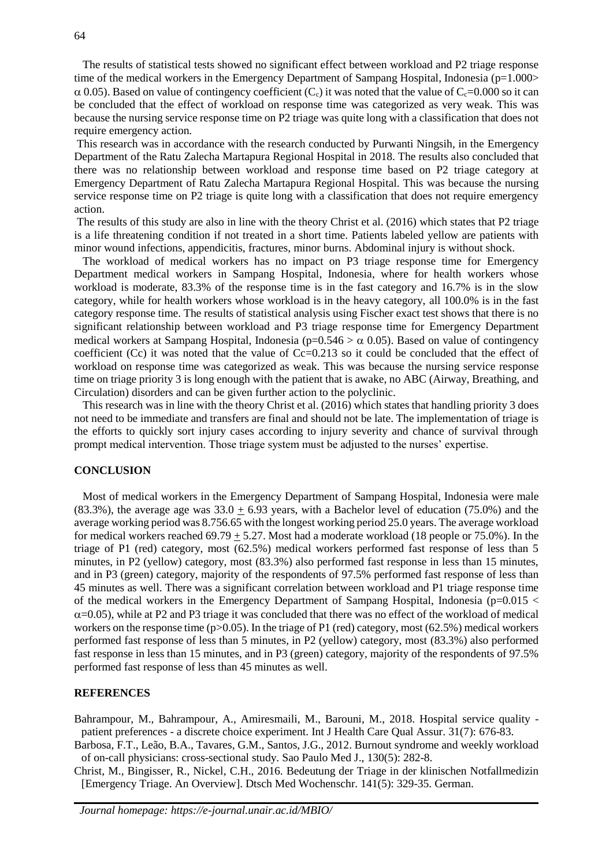The results of statistical tests showed no significant effect between workload and P2 triage response time of the medical workers in the Emergency Department of Sampang Hospital, Indonesia (p=1.000>  $\alpha$  0.05). Based on value of contingency coefficient (C<sub>c</sub>) it was noted that the value of C<sub>c</sub>=0.000 so it can be concluded that the effect of workload on response time was categorized as very weak. This was because the nursing service response time on P2 triage was quite long with a classification that does not require emergency action.

This research was in accordance with the research conducted by Purwanti Ningsih, in the Emergency Department of the Ratu Zalecha Martapura Regional Hospital in 2018. The results also concluded that there was no relationship between workload and response time based on P2 triage category at Emergency Department of Ratu Zalecha Martapura Regional Hospital. This was because the nursing service response time on P2 triage is quite long with a classification that does not require emergency action.

The results of this study are also in line with the theory Christ et al. (2016) which states that P2 triage is a life threatening condition if not treated in a short time. Patients labeled yellow are patients with minor wound infections, appendicitis, fractures, minor burns. Abdominal injury is without shock.

 The workload of medical workers has no impact on P3 triage response time for Emergency Department medical workers in Sampang Hospital, Indonesia, where for health workers whose workload is moderate, 83.3% of the response time is in the fast category and 16.7% is in the slow category, while for health workers whose workload is in the heavy category, all 100.0% is in the fast category response time. The results of statistical analysis using Fischer exact test shows that there is no significant relationship between workload and P3 triage response time for Emergency Department medical workers at Sampang Hospital, Indonesia ( $p=0.546 > \alpha$  0.05). Based on value of contingency coefficient (Cc) it was noted that the value of  $Cc=0.213$  so it could be concluded that the effect of workload on response time was categorized as weak. This was because the nursing service response time on triage priority 3 is long enough with the patient that is awake, no ABC (Airway, Breathing, and Circulation) disorders and can be given further action to the polyclinic.

 This research was in line with the theory Christ et al. (2016) which states that handling priority 3 does not need to be immediate and transfers are final and should not be late. The implementation of triage is the efforts to quickly sort injury cases according to injury severity and chance of survival through prompt medical intervention. Those triage system must be adjusted to the nurses' expertise.

#### **CONCLUSION**

 Most of medical workers in the Emergency Department of Sampang Hospital, Indonesia were male  $(83.3\%)$ , the average age was  $33.0 + 6.93$  years, with a Bachelor level of education  $(75.0\%)$  and the average working period was 8.756.65 with the longest working period 25.0 years. The average workload for medical workers reached  $69.79 + 5.27$ . Most had a moderate workload (18 people or 75.0%). In the triage of P1 (red) category, most (62.5%) medical workers performed fast response of less than 5 minutes, in P2 (yellow) category, most (83.3%) also performed fast response in less than 15 minutes, and in P3 (green) category, majority of the respondents of 97.5% performed fast response of less than 45 minutes as well. There was a significant correlation between workload and P1 triage response time of the medical workers in the Emergency Department of Sampang Hospital, Indonesia ( $p=0.015 <$  $\alpha$ =0.05), while at P2 and P3 triage it was concluded that there was no effect of the workload of medical workers on the response time ( $p > 0.05$ ). In the triage of P1 (red) category, most (62.5%) medical workers performed fast response of less than 5 minutes, in P2 (yellow) category, most (83.3%) also performed fast response in less than 15 minutes, and in P3 (green) category, majority of the respondents of 97.5% performed fast response of less than 45 minutes as well.

#### **REFERENCES**

Bahrampour, M., Bahrampour, A., Amiresmaili, M., Barouni, M., 2018. Hospital service quality patient preferences - a discrete choice experiment. Int J Health Care Qual Assur. 31(7): 676-83.

Barbosa, F.T., Leão, B.A., Tavares, G.M., Santos, J.G., 2012. Burnout syndrome and weekly workload of on-call physicians: cross-sectional study. Sao Paulo Med J., 130(5): 282-8.

Christ, M., Bingisser, R., Nickel, C.H., 2016. Bedeutung der Triage in der klinischen Notfallmedizin [Emergency Triage. An Overview]. Dtsch Med Wochenschr. 141(5): 329-35. German.